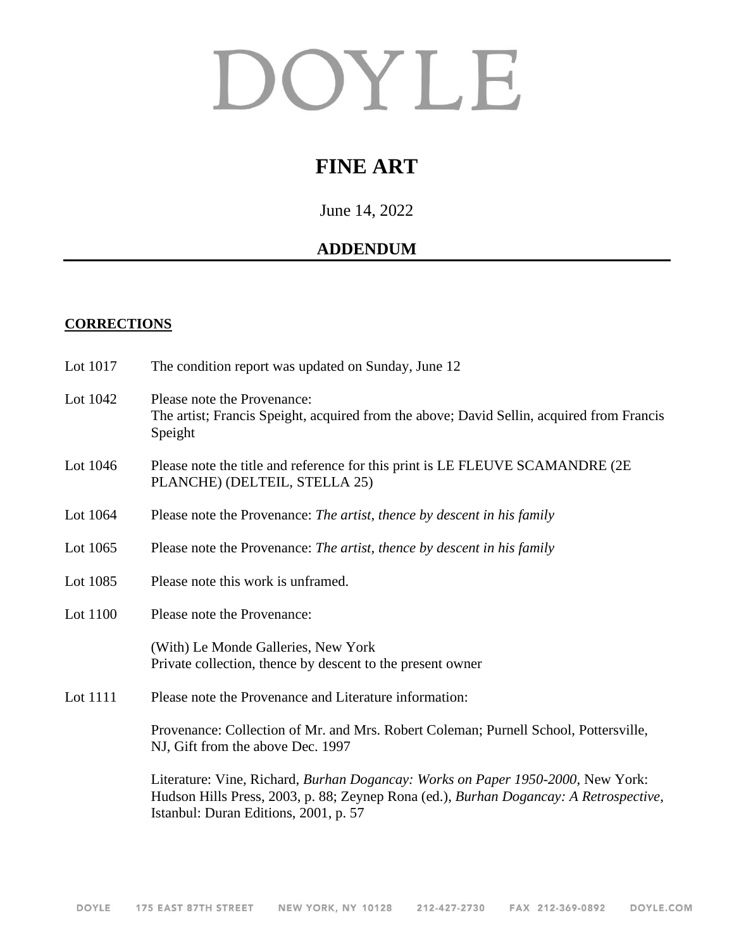# DOYLE

# **FINE ART**

June 14, 2022

## **ADDENDUM**

#### **CORRECTIONS**

| Lot 1017 | The condition report was updated on Sunday, June 12                                                                                                                                                               |
|----------|-------------------------------------------------------------------------------------------------------------------------------------------------------------------------------------------------------------------|
| Lot 1042 | Please note the Provenance:<br>The artist; Francis Speight, acquired from the above; David Sellin, acquired from Francis<br>Speight                                                                               |
| Lot 1046 | Please note the title and reference for this print is LE FLEUVE SCAMANDRE (2E)<br>PLANCHE) (DELTEIL, STELLA 25)                                                                                                   |
| Lot 1064 | Please note the Provenance: The artist, thence by descent in his family                                                                                                                                           |
| Lot 1065 | Please note the Provenance: The artist, thence by descent in his family                                                                                                                                           |
| Lot 1085 | Please note this work is unframed.                                                                                                                                                                                |
| Lot 1100 | Please note the Provenance:                                                                                                                                                                                       |
|          | (With) Le Monde Galleries, New York<br>Private collection, thence by descent to the present owner                                                                                                                 |
| Lot 1111 | Please note the Provenance and Literature information:                                                                                                                                                            |
|          | Provenance: Collection of Mr. and Mrs. Robert Coleman; Purnell School, Pottersville,<br>NJ, Gift from the above Dec. 1997                                                                                         |
|          | Literature: Vine, Richard, Burhan Dogancay: Works on Paper 1950-2000, New York:<br>Hudson Hills Press, 2003, p. 88; Zeynep Rona (ed.), Burhan Dogancay: A Retrospective,<br>Istanbul: Duran Editions, 2001, p. 57 |